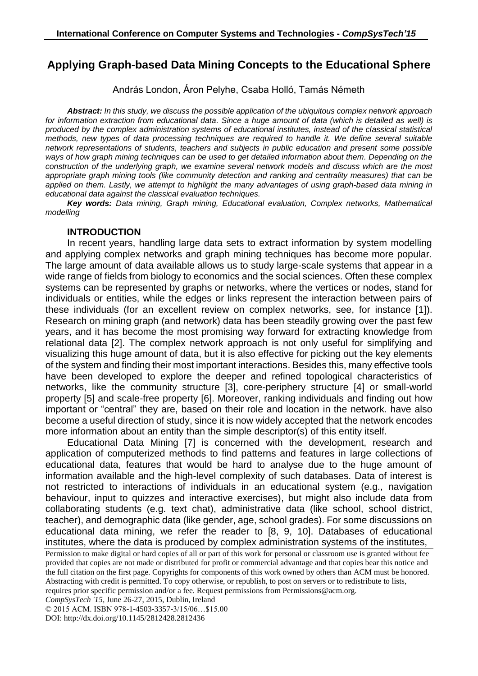# **Applying Graph-based Data Mining Concepts to the Educational Sphere**

András London, Áron Pelyhe, Csaba Holló, Tamás Németh

*Abstract: In this study, we discuss the possible application of the ubiquitous complex network approach for information extraction from educational data. Since a huge amount of data (which is detailed as well) is produced by the complex administration systems of educational institutes, instead of the classical statistical methods, new types of data processing techniques are required to handle it. We define several suitable network representations of students, teachers and subjects in public education and present some possible ways of how graph mining techniques can be used to get detailed information about them. Depending on the construction of the underlying graph, we examine several network models and discuss which are the most appropriate graph mining tools (like community detection and ranking and centrality measures) that can be applied on them. Lastly, we attempt to highlight the many advantages of using graph-based data mining in educational data against the classical evaluation techniques.*

*Key words: Data mining, Graph mining, Educational evaluation, Complex networks, Mathematical modelling*

#### **INTRODUCTION**

In recent years, handling large data sets to extract information by system modelling and applying complex networks and graph mining techniques has become more popular. The large amount of data available allows us to study large-scale systems that appear in a wide range of fields from biology to economics and the social sciences. Often these complex systems can be represented by graphs or networks, where the vertices or nodes, stand for individuals or entities, while the edges or links represent the interaction between pairs of these individuals (for an excellent review on complex networks, see, for instance [1]). Research on mining graph (and network) data has been steadily growing over the past few years, and it has become the most promising way forward for extracting knowledge from relational data [2]. The complex network approach is not only useful for simplifying and visualizing this huge amount of data, but it is also effective for picking out the key elements of the system and finding their most important interactions. Besides this, many effective tools have been developed to explore the deeper and refined topological characteristics of networks, like the community structure [3], core-periphery structure [4] or small-world property [5] and scale-free property [6]. Moreover, ranking individuals and finding out how important or "central" they are, based on their role and location in the network. have also become a useful direction of study, since it is now widely accepted that the network encodes more information about an entity than the simple descriptor(s) of this entity itself.

Educational Data Mining [7] is concerned with the development, research and application of computerized methods to find patterns and features in large collections of educational data, features that would be hard to analyse due to the huge amount of information available and the high-level complexity of such databases. Data of interest is not restricted to interactions of individuals in an educational system (e.g., navigation behaviour, input to quizzes and interactive exercises), but might also include data from collaborating students (e.g. text chat), administrative data (like school, school district, teacher), and demographic data (like gender, age, school grades). For some discussions on educational data mining, we refer the reader to [8, 9, 10]. Databases of educational institutes, where the data is produced by complex administration systems of the institutes,

*CompSysTech '15,* June 26-27, 2015, Dublin, Ireland

© 2015 ACM. ISBN 978-1-4503-3357-3/15/06…\$15.00

DOI: http://dx.doi.org/10.1145/2812428.2812436

Permission to make digital or hard copies of all or part of this work for personal or classroom use is granted without fee provided that copies are not made or distributed for profit or commercial advantage and that copies bear this notice and the full citation on the first page. Copyrights for components of this work owned by others than ACM must be honored. Abstracting with credit is permitted. To copy otherwise, or republish, to post on servers or to redistribute to lists, requires prior specific permission and/or a fee. Request permissions from Permissions@acm.org.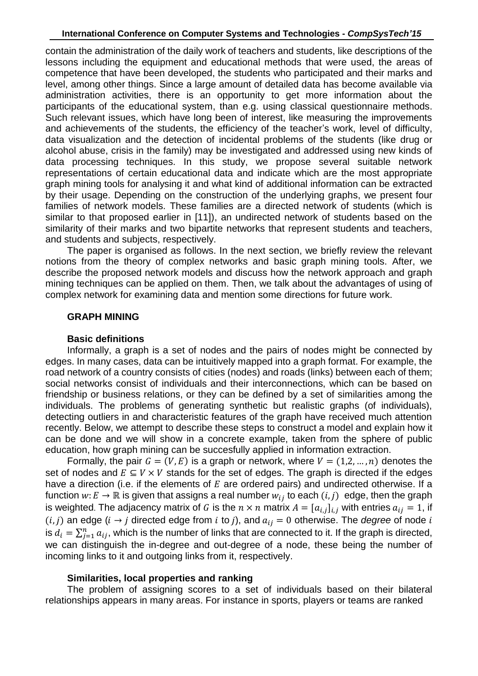### **International Conference on Computer Systems and Technologies -** *CompSysTech'15*

contain the administration of the daily work of teachers and students, like descriptions of the lessons including the equipment and educational methods that were used, the areas of competence that have been developed, the students who participated and their marks and level, among other things. Since a large amount of detailed data has become available via administration activities, there is an opportunity to get more information about the participants of the educational system, than e.g. using classical questionnaire methods. Such relevant issues, which have long been of interest, like measuring the improvements and achievements of the students, the efficiency of the teacher's work, level of difficulty, data visualization and the detection of incidental problems of the students (like drug or alcohol abuse, crisis in the family) may be investigated and addressed using new kinds of data processing techniques. In this study, we propose several suitable network representations of certain educational data and indicate which are the most appropriate graph mining tools for analysing it and what kind of additional information can be extracted by their usage. Depending on the construction of the underlying graphs, we present four families of network models. These families are a directed network of students (which is similar to that proposed earlier in [11]), an undirected network of students based on the similarity of their marks and two bipartite networks that represent students and teachers, and students and subjects, respectively.

The paper is organised as follows. In the next section, we briefly review the relevant notions from the theory of complex networks and basic graph mining tools. After, we describe the proposed network models and discuss how the network approach and graph mining techniques can be applied on them. Then, we talk about the advantages of using of complex network for examining data and mention some directions for future work.

#### **GRAPH MINING**

#### **Basic definitions**

Informally, a graph is a set of nodes and the pairs of nodes might be connected by edges. In many cases, data can be intuitively mapped into a graph format. For example, the road network of a country consists of cities (nodes) and roads (links) between each of them; social networks consist of individuals and their interconnections, which can be based on friendship or business relations, or they can be defined by a set of similarities among the individuals. The problems of generating synthetic but realistic graphs (of individuals), detecting outliers in and characteristic features of the graph have received much attention recently. Below, we attempt to describe these steps to construct a model and explain how it can be done and we will show in a concrete example, taken from the sphere of public education, how graph mining can be succesfully applied in information extraction.

Formally, the pair  $G = (V, E)$  is a graph or network, where  $V = (1, 2, ..., n)$  denotes the set of nodes and  $E \subseteq V \times V$  stands for the set of edges. The graph is directed if the edges have a direction (i.e. if the elements of  $E$  are ordered pairs) and undirected otherwise. If a function  $w: E \to \mathbb{R}$  is given that assigns a real number  $w_{ij}$  to each  $(i,j)$  edge, then the graph is weighted. The adjacency matrix of G is the  $n \times n$  matrix  $A = [a_{i,j}]_{i,j}$  with entries  $a_{ij} = 1$ , if  $(i, j)$  an edge  $(i \rightarrow j$  directed edge from  $i$  to  $j$ ), and  $a_{ij} = 0$  otherwise. The *degree* of node  $i$ is  $d_i = \sum_{j=1}^n a_{ij}$ , which is the number of links that are connected to it. If the graph is directed, we can distinguish the in-degree and out-degree of a node, these being the number of incoming links to it and outgoing links from it, respectively.

### **Similarities, local properties and ranking**

The problem of assigning scores to a set of individuals based on their bilateral relationships appears in many areas. For instance in sports, players or teams are ranked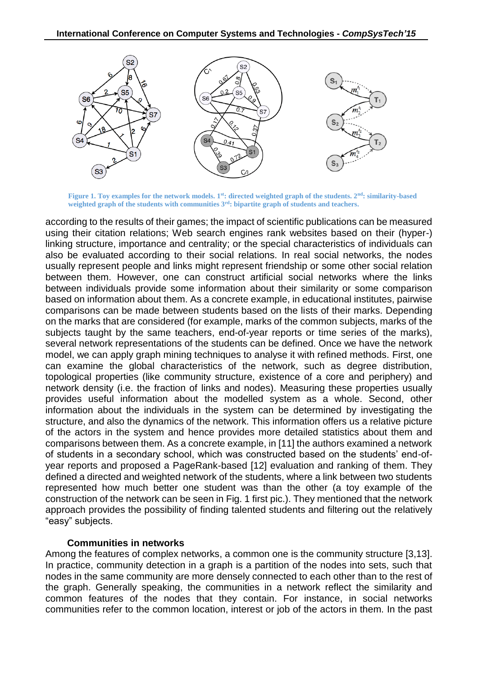

**Figure 1. Toy examples for the network models. 1st: directed weighted graph of the students. 2nd: similarity-based weighted graph of the students with communities 3rd: bipartite graph of students and teachers.**

according to the results of their games; the impact of scientific publications can be measured using their citation relations; Web search engines rank websites based on their (hyper-) linking structure, importance and centrality; or the special characteristics of individuals can also be evaluated according to their social relations. In real social networks, the nodes usually represent people and links might represent friendship or some other social relation between them. However, one can construct artificial social networks where the links between individuals provide some information about their similarity or some comparison based on information about them. As a concrete example, in educational institutes, pairwise comparisons can be made between students based on the lists of their marks. Depending on the marks that are considered (for example, marks of the common subjects, marks of the subjects taught by the same teachers, end-of-year reports or time series of the marks), several network representations of the students can be defined. Once we have the network model, we can apply graph mining techniques to analyse it with refined methods. First, one can examine the global characteristics of the network, such as degree distribution, topological properties (like community structure, existence of a core and periphery) and network density (i.e. the fraction of links and nodes). Measuring these properties usually provides useful information about the modelled system as a whole. Second, other information about the individuals in the system can be determined by investigating the structure, and also the dynamics of the network. This information offers us a relative picture of the actors in the system and hence provides more detailed statistics about them and comparisons between them. As a concrete example, in [11] the authors examined a network of students in a secondary school, which was constructed based on the students' end-ofyear reports and proposed a PageRank-based [12] evaluation and ranking of them. They defined a directed and weighted network of the students, where a link between two students represented how much better one student was than the other (a toy example of the construction of the network can be seen in Fig. 1 first pic.). They mentioned that the network approach provides the possibility of finding talented students and filtering out the relatively "easy" subjects.

## **Communities in networks**

Among the features of complex networks, a common one is the community structure [3,13]. In practice, community detection in a graph is a partition of the nodes into sets, such that nodes in the same community are more densely connected to each other than to the rest of the graph. Generally speaking, the communities in a network reflect the similarity and common features of the nodes that they contain. For instance, in social networks communities refer to the common location, interest or job of the actors in them. In the past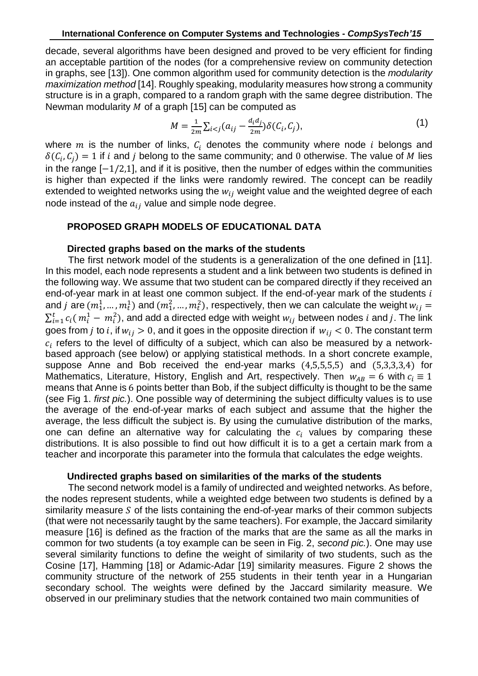decade, several algorithms have been designed and proved to be very efficient for finding an acceptable partition of the nodes (for a comprehensive review on community detection in graphs, see [13]). One common algorithm used for community detection is the *modularity maximization method* [14]. Roughly speaking, modularity measures how strong a community structure is in a graph, compared to a random graph with the same degree distribution. The Newman modularity  $M$  of a graph [15] can be computed as

$$
M = \frac{1}{2m} \sum_{i < j} (a_{ij} - \frac{d_i d_j}{2m}) \delta(C_i, C_j), \tag{1}
$$

where  $m$  is the number of links,  $C_i$  denotes the community where node  $i$  belongs and  $\delta(C_i, C_j) = 1$  if *i* and *j* belong to the same community; and 0 otherwise. The value of *M* lies in the range  $[-1/2,1]$ , and if it is positive, then the number of edges within the communities is higher than expected if the links were randomly rewired. The concept can be readily extended to weighted networks using the  $w_{ij}$  weight value and the weighted degree of each node instead of the  $a_{ij}$  value and simple node degree.

## **PROPOSED GRAPH MODELS OF EDUCATIONAL DATA**

#### **Directed graphs based on the marks of the students**

The first network model of the students is a generalization of the one defined in [11]. In this model, each node represents a student and a link between two students is defined in the following way. We assume that two student can be compared directly if they received an end-of-year mark in at least one common subject. If the end-of-year mark of the students  $i$ and  $j$  are  $(m_1^1,...,m_t^1)$  and  $(m_1^2,...,m_t^2)$ , respectively, then we can calculate the weight  $w_{ij}=$  $\sum_{i=1}^t c_i (m_i^1 - m_i^2)$ , and add a directed edge with weight  $w_{ij}$  between nodes  $i$  and  $j$ . The link goes from *j* to *i*, if  $w_{ij} > 0$ , and it goes in the opposite direction if  $w_{ij} < 0$ . The constant term  $c_i$  refers to the level of difficulty of a subject, which can also be measured by a networkbased approach (see below) or applying statistical methods. In a short concrete example, suppose Anne and Bob received the end-year marks (4,5,5,5,5) and (5,3,3,3,4) for Mathematics, Literature, History, English and Art, respectively. Then  $w_{AB} = 6$  with  $c_i \equiv 1$ means that Anne is 6 points better than Bob, if the subject difficulty is thought to be the same (see Fig 1. *first pic.*). One possible way of determining the subject difficulty values is to use the average of the end-of-year marks of each subject and assume that the higher the average, the less difficult the subject is. By using the cumulative distribution of the marks, one can define an alternative way for calculating the  $c_i$  values by comparing these distributions. It is also possible to find out how difficult it is to a get a certain mark from a teacher and incorporate this parameter into the formula that calculates the edge weights.

### **Undirected graphs based on similarities of the marks of the students**

The second network model is a family of undirected and weighted networks. As before, the nodes represent students, while a weighted edge between two students is defined by a similarity measure  $S$  of the lists containing the end-of-year marks of their common subjects (that were not necessarily taught by the same teachers). For example, the Jaccard similarity measure [16] is defined as the fraction of the marks that are the same as all the marks in common for two students (a toy example can be seen in Fig. 2, *second pic.*). One may use several similarity functions to define the weight of similarity of two students, such as the Cosine [17], Hamming [18] or Adamic-Adar [19] similarity measures. Figure 2 shows the community structure of the network of 255 students in their tenth year in a Hungarian secondary school. The weights were defined by the Jaccard similarity measure. We observed in our preliminary studies that the network contained two main communities of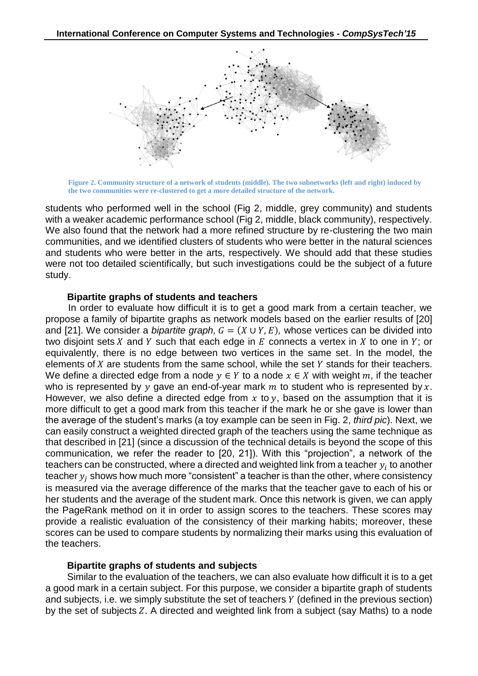

**Figure 2. Community structure of a network of students (middle). The two subnetworks (left and right) induced by the two communities were re-clustered to get a more detailed structure of the network.**

students who performed well in the school (Fig 2, middle, grey community) and students with a weaker academic performance school (Fig 2, middle, black community), respectively. We also found that the network had a more refined structure by re-clustering the two main communities, and we identified clusters of students who were better in the natural sciences and students who were better in the arts, respectively. We should add that these studies were not too detailed scientifically, but such investigations could be the subject of a future study.

### **Bipartite graphs of students and teachers**

In order to evaluate how difficult it is to get a good mark from a certain teacher, we propose a family of bipartite graphs as network models based on the earlier results of [20] and [21]. We consider a *bipartite graph,*  $G = (X \cup Y, E)$ , whose vertices can be divided into two disjoint sets X and Y such that each edge in  $E$  connects a vertex in  $X$  to one in  $Y$ ; or equivalently, there is no edge between two vertices in the same set. In the model, the elements of  $X$  are students from the same school, while the set  $Y$  stands for their teachers. We define a directed edge from a node  $v \in Y$  to a node  $x \in X$  with weight m, if the teacher who is represented by y gave an end-of-year mark  $m$  to student who is represented by  $x$ . However, we also define a directed edge from x to y, based on the assumption that it is more difficult to get a good mark from this teacher if the mark he or she gave is lower than the average of the student's marks (a toy example can be seen in Fig. 2, *third pic*). Next, we can easily construct a weighted directed graph of the teachers using the same technique as that described in [21] (since a discussion of the technical details is beyond the scope of this communication, we refer the reader to [20, 21]). With this "projection", a network of the teachers can be constructed, where a directed and weighted link from a teacher  $\bm{y}_i$  to another teacher  $y_i$  shows how much more "consistent" a teacher is than the other, where consistency is measured via the average difference of the marks that the teacher gave to each of his or her students and the average of the student mark. Once this network is given, we can apply the PageRank method on it in order to assign scores to the teachers. These scores may provide a realistic evaluation of the consistency of their marking habits; moreover, these scores can be used to compare students by normalizing their marks using this evaluation of the teachers.

## **Bipartite graphs of students and subjects**

Similar to the evaluation of the teachers, we can also evaluate how difficult it is to a get a good mark in a certain subject. For this purpose, we consider a bipartite graph of students and subjects, i.e. we simply substitute the set of teachers  $Y$  (defined in the previous section) by the set of subjects  $Z$ . A directed and weighted link from a subject (say Maths) to a node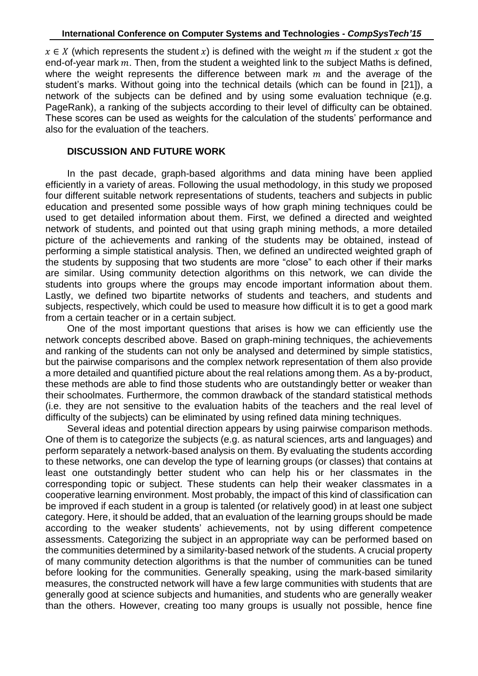$x \in X$  (which represents the student x) is defined with the weight m if the student x got the end-of-year mark  $m$ . Then, from the student a weighted link to the subject Maths is defined, where the weight represents the difference between mark  $m$  and the average of the student's marks. Without going into the technical details (which can be found in [21]), a network of the subjects can be defined and by using some evaluation technique (e.g. PageRank), a ranking of the subjects according to their level of difficulty can be obtained. These scores can be used as weights for the calculation of the students' performance and also for the evaluation of the teachers.

### **DISCUSSION AND FUTURE WORK**

In the past decade, graph-based algorithms and data mining have been applied efficiently in a variety of areas. Following the usual methodology, in this study we proposed four different suitable network representations of students, teachers and subjects in public education and presented some possible ways of how graph mining techniques could be used to get detailed information about them. First, we defined a directed and weighted network of students, and pointed out that using graph mining methods, a more detailed picture of the achievements and ranking of the students may be obtained, instead of performing a simple statistical analysis. Then, we defined an undirected weighted graph of the students by supposing that two students are more "close" to each other if their marks are similar. Using community detection algorithms on this network, we can divide the students into groups where the groups may encode important information about them. Lastly, we defined two bipartite networks of students and teachers, and students and subjects, respectively, which could be used to measure how difficult it is to get a good mark from a certain teacher or in a certain subject.

One of the most important questions that arises is how we can efficiently use the network concepts described above. Based on graph-mining techniques, the achievements and ranking of the students can not only be analysed and determined by simple statistics, but the pairwise comparisons and the complex network representation of them also provide a more detailed and quantified picture about the real relations among them. As a by-product, these methods are able to find those students who are outstandingly better or weaker than their schoolmates. Furthermore, the common drawback of the standard statistical methods (i.e. they are not sensitive to the evaluation habits of the teachers and the real level of difficulty of the subjects) can be eliminated by using refined data mining techniques.

Several ideas and potential direction appears by using pairwise comparison methods. One of them is to categorize the subjects (e.g. as natural sciences, arts and languages) and perform separately a network-based analysis on them. By evaluating the students according to these networks, one can develop the type of learning groups (or classes) that contains at least one outstandingly better student who can help his or her classmates in the corresponding topic or subject. These students can help their weaker classmates in a cooperative learning environment. Most probably, the impact of this kind of classification can be improved if each student in a group is talented (or relatively good) in at least one subject category. Here, it should be added, that an evaluation of the learning groups should be made according to the weaker students' achievements, not by using different competence assessments. Categorizing the subject in an appropriate way can be performed based on the communities determined by a similarity-based network of the students. A crucial property of many community detection algorithms is that the number of communities can be tuned before looking for the communities. Generally speaking, using the mark-based similarity measures, the constructed network will have a few large communities with students that are generally good at science subjects and humanities, and students who are generally weaker than the others. However, creating too many groups is usually not possible, hence fine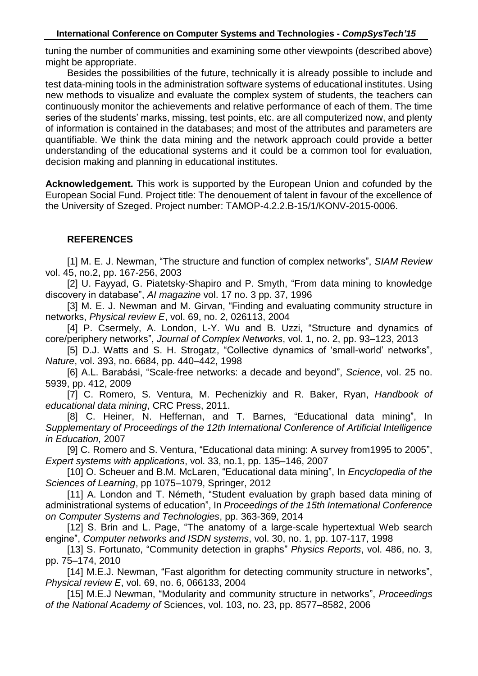tuning the number of communities and examining some other viewpoints (described above) might be appropriate.

Besides the possibilities of the future, technically it is already possible to include and test data-mining tools in the administration software systems of educational institutes. Using new methods to visualize and evaluate the complex system of students, the teachers can continuously monitor the achievements and relative performance of each of them. The time series of the students' marks, missing, test points, etc. are all computerized now, and plenty of information is contained in the databases; and most of the attributes and parameters are quantifiable. We think the data mining and the network approach could provide a better understanding of the educational systems and it could be a common tool for evaluation, decision making and planning in educational institutes.

**Acknowledgement.** This work is supported by the European Union and cofunded by the European Social Fund. Project title: The denouement of talent in favour of the excellence of the University of Szeged. Project number: TAMOP-4.2.2.B-15/1/KONV-2015-0006.

# **REFERENCES**

[1] M. E. J. Newman, "The structure and function of complex networks", *SIAM Review* vol. 45, no.2, pp. 167-256, 2003

[2] U. Fayyad, G. Piatetsky-Shapiro and P. Smyth, "From data mining to knowledge discovery in database", *AI magazine* vol. 17 no. 3 pp. 37, 1996

[3] M. E. J. Newman and M. Girvan, "Finding and evaluating community structure in networks, *Physical review E*, vol. 69, no. 2, 026113, 2004

[4] P. Csermely, A. London, L-Y. Wu and B. Uzzi, "Structure and dynamics of core/periphery networks", *Journal of Complex Networks*, vol. 1, no. 2, pp. 93–123, 2013

[5] D.J. Watts and S. H. Strogatz, "Collective dynamics of 'small-world' networks", *Nature*, vol. 393, no. 6684, pp. 440–442, 1998

[6] A.L. Barabási, "Scale-free networks: a decade and beyond", *Science*, vol. 25 no. 5939, pp. 412, 2009

[7] C. Romero, S. Ventura, M. Pechenizkiy and R. Baker, Ryan, *Handbook of educational data mining*, CRC Press, 2011.

[8] C. Heiner, N. Heffernan, and T. Barnes*,* "Educational data mining", In *Supplementary of Proceedings of the 12th International Conference of Artificial Intelligence in Education,* 2007

[9] C. Romero and S. Ventura, "Educational data mining: A survey from1995 to 2005", *Expert systems with applications*, vol. 33, no.1, pp. 135–146, 2007

[10] O. Scheuer and B.M. McLaren, "Educational data mining", In *Encyclopedia of the Sciences of Learning*, pp 1075–1079, Springer, 2012

[11] A. London and T. Németh, "Student evaluation by graph based data mining of administrational systems of education", In *Proceedings of the 15th International Conference on Computer Systems and Technologies*, pp. 363-369, 2014

[12] S. Brin and L. Page, "The anatomy of a large-scale hypertextual Web search engine", *Computer networks and ISDN systems*, vol. 30, no. 1, pp. 107-117, 1998

[13] S. Fortunato, "Community detection in graphs" *Physics Reports*, vol. 486, no. 3, pp. 75–174, 2010

[14] M.E.J. Newman, "Fast algorithm for detecting community structure in networks", *Physical review E*, vol. 69, no. 6, 066133, 2004

[15] M.E.J Newman, "Modularity and community structure in networks", *Proceedings of the National Academy of* Sciences, vol. 103, no. 23, pp. 8577–8582, 2006